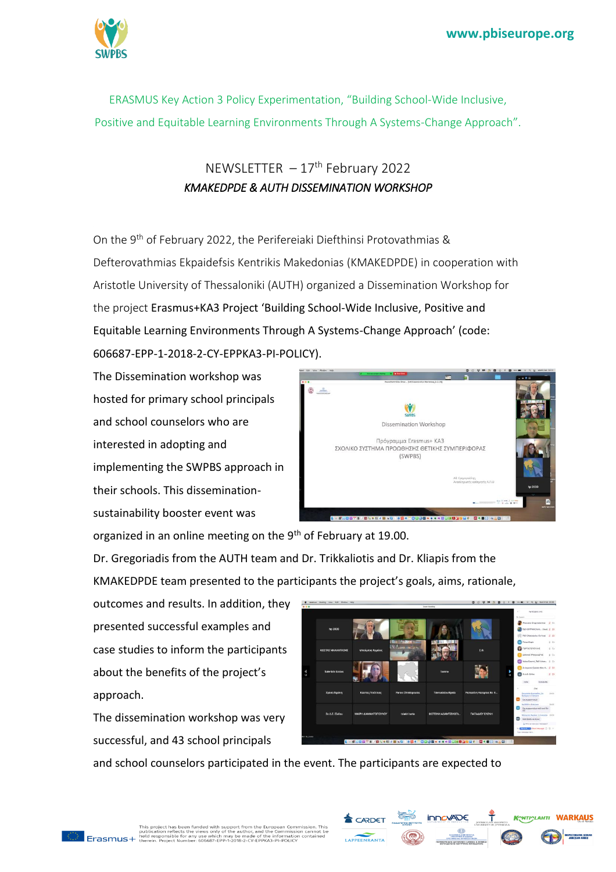

ERASMUS Key Action 3 Policy Experimentation, "Building School-Wide Inclusive, Positive and Equitable Learning Environments Through A Systems-Change Approach".

## NEWSLETTER  $-17<sup>th</sup>$  February 2022 *KMAKEDPDE & AUTH DISSEMINATION WORKSHOP*

On the 9<sup>th</sup> of February 2022, the Perifereiaki Diefthinsi Protovathmias & Defterovathmias Ekpaidefsis Kentrikis Makedonias (KMAKEDPDE) in cooperation with Aristotle University of Thessaloniki (AUTH) organized a Dissemination Workshop for the project Erasmus+KA3 Project 'Building School-Wide Inclusive, Positive and Equitable Learning Environments Through A Systems-Change Approach' (code: 606687-EPP-1-2018-2-CY-EPPKA3-PI-POLICY).

The Dissemination workshop was hosted for primary school principals and school counselors who are interested in adopting and implementing the SWPBS approach in their schools. This disseminationsustainability booster event was



organized in an online meeting on the 9<sup>th</sup> of February at 19.00.

Dr. Gregoriadis from the AUTH team and Dr. Trikkaliotis and Dr. Kliapis from the KMAKEDPDE team presented to the participants the project's goals, aims, rationale,

outcomes and results. In addition, they presented successful examples and case studies to inform the participants about the benefits of the project's approach.

The dissemination workshop was very successful, and 43 school principals

and school counselors participated in the event. The participants are expected to